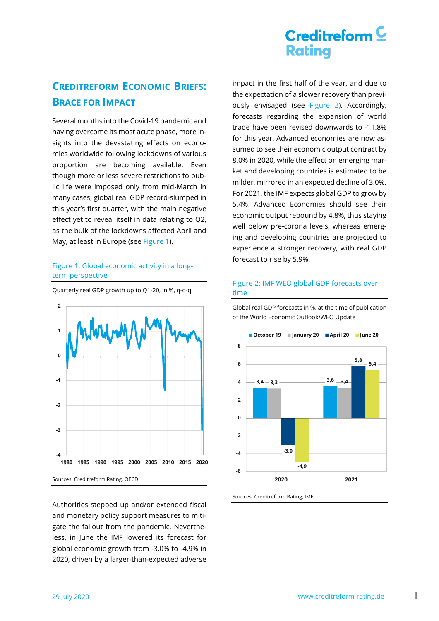## **CREDITREFORM ECONOMIC BRIEFS: BRACE FOR IMPACT**

Several months into the Covid-19 pandemic and having overcome its most acute phase, more insights into the devastating effects on economies worldwide following lockdowns of various proportion are becoming available. Even though more or less severe restrictions to public life were imposed only from mid-March in many cases, global real GDP record-slumped in this year's first quarter, with the main negative effect yet to reveal itself in data relating to Q2, as the bulk of the lockdowns affected April and May, at least in Europe (see [Figure 1\)](#page-0-0).

### <span id="page-0-0"></span>Figure 1: Global economic activity in a longterm perspective



Quarterly real GDP growth up to Q1-20, in %, q-o-q

Authorities stepped up and/or extended fiscal and monetary policy support measures to mitigate the fallout from the pandemic. Nevertheless, in June the IMF lowered its forecast for global economic growth from -3.0% to -4.9% in 2020, driven by a larger-than-expected adverse

impact in the first half of the year, and due to the expectation of a slower recovery than previously envisaged (see [Figure 2\)](#page-0-1). Accordingly, forecasts regarding the expansion of world trade have been revised downwards to -11.8% for this year. Advanced economies are now assumed to see their economic output contract by 8.0% in 2020, while the effect on emerging market and developing countries is estimated to be milder, mirrored in an expected decline of 3.0%. For 2021, the IMF expects global GDP to grow by 5.4%. Advanced Economies should see their economic output rebound by 4.8%, thus staying well below pre-corona levels, whereas emerging and developing countries are projected to experience a stronger recovery, with real GDP forecast to rise by 5.9%.

#### <span id="page-0-1"></span>Figure 2: IMF WEO global GDP forecasts over time

Global real GDP forecasts in %, at the time of publication of the World Economic Outlook/WEO Update



Sources: Creditreform Rating, IMF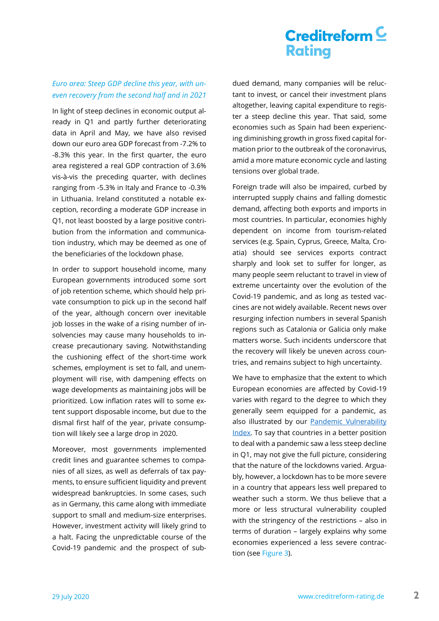### *Euro area: Steep GDP decline this year, with uneven recovery from the second half and in 2021*

In light of steep declines in economic output already in Q1 and partly further deteriorating data in April and May, we have also revised down our euro area GDP forecast from -7.2% to -8.3% this year. In the first quarter, the euro area registered a real GDP contraction of 3.6% vis-à-vis the preceding quarter, with declines ranging from -5.3% in Italy and France to -0.3% in Lithuania. Ireland constituted a notable exception, recording a moderate GDP increase in Q1, not least boosted by a large positive contribution from the information and communication industry, which may be deemed as one of the beneficiaries of the lockdown phase.

In order to support household income, many European governments introduced some sort of job retention scheme, which should help private consumption to pick up in the second half of the year, although concern over inevitable job losses in the wake of a rising number of insolvencies may cause many households to increase precautionary saving. Notwithstanding the cushioning effect of the short-time work schemes, employment is set to fall, and unemployment will rise, with dampening effects on wage developments as maintaining jobs will be prioritized. Low inflation rates will to some extent support disposable income, but due to the dismal first half of the year, private consumption will likely see a large drop in 2020.

Moreover, most governments implemented credit lines and guarantee schemes to companies of all sizes, as well as deferrals of tax payments, to ensure sufficient liquidity and prevent widespread bankruptcies. In some cases, such as in Germany, this came along with immediate support to small and medium-size enterprises. However, investment activity will likely grind to a halt. Facing the unpredictable course of the Covid-19 pandemic and the prospect of subdued demand, many companies will be reluctant to invest, or cancel their investment plans altogether, leaving capital expenditure to register a steep decline this year. That said, some economies such as Spain had been experiencing diminishing growth in gross fixed capital formation prior to the outbreak of the coronavirus, amid a more mature economic cycle and lasting tensions over global trade.

Foreign trade will also be impaired, curbed by interrupted supply chains and falling domestic demand, affecting both exports and imports in most countries. In particular, economies highly dependent on income from tourism-related services (e.g. Spain, Cyprus, Greece, Malta, Croatia) should see services exports contract sharply and look set to suffer for longer, as many people seem reluctant to travel in view of extreme uncertainty over the evolution of the Covid-19 pandemic, and as long as tested vaccines are not widely available. Recent news over resurging infection numbers in several Spanish regions such as Catalonia or Galicia only make matters worse. Such incidents underscore that the recovery will likely be uneven across countries, and remains subject to high uncertainty.

We have to emphasize that the extent to which European economies are affected by Covid-19 varies with regard to the degree to which they generally seem equipped for a pandemic, as also illustrated by our Pandemic Vulnerability [Index.](https://www.creditreform-rating.de/en/research.html?file=files/content/downloads/Externes%20Rating/Research/Konjunktur/Creditreform%20Rating%20Pandemic%20Vulnerability%20Index%20-%20EN.pdf) To say that countries in a better position to deal with a pandemic saw a less steep decline in Q1, may not give the full picture, considering that the nature of the lockdowns varied. Arguably, however, a lockdown has to be more severe in a country that appears less well prepared to weather such a storm. We thus believe that a more or less structural vulnerability coupled with the stringency of the restrictions – also in terms of duration – largely explains why some economies experienced a less severe contraction (se[e Figure 3\)](#page-2-0).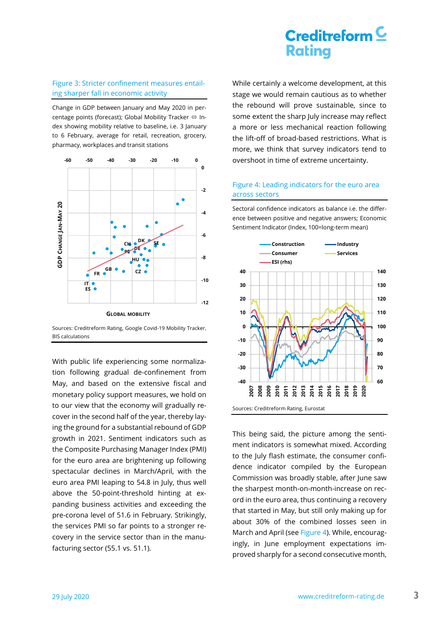#### <span id="page-2-0"></span>Figure 3: Stricter confinement measures entailing sharper fall in economic activity

Change in GDP between January and May 2020 in percentage points (forecast); Global Mobility Tracker  $\Leftrightarrow$  Index showing mobility relative to baseline, i.e. 3 January to 6 February, average for retail, recreation, grocery, pharmacy, workplaces and transit stations



Sources: Creditreform Rating, Google Covid-19 Mobility Tracker, BIS calculations

With public life experiencing some normalization following gradual de-confinement from May, and based on the extensive fiscal and monetary policy support measures, we hold on to our view that the economy will gradually recover in the second half of the year, thereby laying the ground for a substantial rebound of GDP growth in 2021. Sentiment indicators such as the Composite Purchasing Manager Index (PMI) for the euro area are brightening up following spectacular declines in March/April, with the euro area PMI leaping to 54.8 in July, thus well above the 50-point-threshold hinting at expanding business activities and exceeding the pre-corona level of 51.6 in February. Strikingly, the services PMI so far points to a stronger recovery in the service sector than in the manufacturing sector (55.1 vs. 51.1).

While certainly a welcome development, at this stage we would remain cautious as to whether the rebound will prove sustainable, since to some extent the sharp July increase may reflect a more or less mechanical reaction following the lift-off of broad-based restrictions. What is more, we think that survey indicators tend to overshoot in time of extreme uncertainty.

### <span id="page-2-1"></span>Figure 4: Leading indicators for the euro area across sectors

Sectoral confidence indicators as balance i.e. the difference between positive and negative answers; Economic Sentiment Indicator (Index, 100=long-term mean)



This being said, the picture among the sentiment indicators is somewhat mixed. According to the July flash estimate, the consumer confidence indicator compiled by the European Commission was broadly stable, after June saw the sharpest month-on-month-increase on record in the euro area, thus continuing a recovery that started in May, but still only making up for about 30% of the combined losses seen in March and April (se[e Figure 4\)](#page-2-1). While, encouragingly, in June employment expectations improved sharply for a second consecutive month,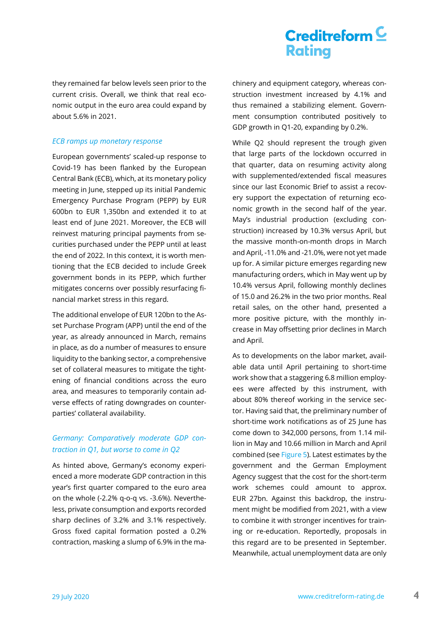they remained far below levels seen prior to the current crisis. Overall, we think that real economic output in the euro area could expand by about 5.6% in 2021.

#### *ECB ramps up monetary response*

European governments' scaled-up response to Covid-19 has been flanked by the European Central Bank (ECB), which, at its monetary policy meeting in June, stepped up its initial Pandemic Emergency Purchase Program (PEPP) by EUR 600bn to EUR 1,350bn and extended it to at least end of June 2021. Moreover, the ECB will reinvest maturing principal payments from securities purchased under the PEPP until at least the end of 2022. In this context, it is worth mentioning that the ECB decided to include Greek government bonds in its PEPP, which further mitigates concerns over possibly resurfacing financial market stress in this regard.

The additional envelope of EUR 120bn to the Asset Purchase Program (APP) until the end of the year, as already announced in March, remains in place, as do a number of measures to ensure liquidity to the banking sector, a comprehensive set of collateral measures to mitigate the tightening of financial conditions across the euro area, and measures to temporarily contain adverse effects of rating downgrades on counterparties' collateral availability.

## *Germany: Comparatively moderate GDP contraction in Q1, but worse to come in Q2*

As hinted above, Germany's economy experienced a more moderate GDP contraction in this year's first quarter compared to the euro area on the whole (-2.2% q-o-q vs. -3.6%). Nevertheless, private consumption and exports recorded sharp declines of 3.2% and 3.1% respectively. Gross fixed capital formation posted a 0.2% contraction, masking a slump of 6.9% in the machinery and equipment category, whereas construction investment increased by 4.1% and thus remained a stabilizing element. Government consumption contributed positively to GDP growth in Q1-20, expanding by 0.2%.

While Q2 should represent the trough given that large parts of the lockdown occurred in that quarter, data on resuming activity along with supplemented/extended fiscal measures since our last Economic Brief to assist a recovery support the expectation of returning economic growth in the second half of the year. May's industrial production (excluding construction) increased by 10.3% versus April, but the massive month-on-month drops in March and April, -11.0% and -21.0%, were not yet made up for. A similar picture emerges regarding new manufacturing orders, which in May went up by 10.4% versus April, following monthly declines of 15.0 and 26.2% in the two prior months. Real retail sales, on the other hand, presented a more positive picture, with the monthly increase in May offsetting prior declines in March and April.

As to developments on the labor market, available data until April pertaining to short-time work show that a staggering 6.8 million employees were affected by this instrument, with about 80% thereof working in the service sector. Having said that, the preliminary number of short-time work notifications as of 25 June has come down to 342,000 persons, from 1.14 million in May and 10.66 million in March and April combined (see [Figure 5\)](#page-4-0). Latest estimates by the government and the German Employment Agency suggest that the cost for the short-term work schemes could amount to approx. EUR 27bn. Against this backdrop, the instrument might be modified from 2021, with a view to combine it with stronger incentives for training or re-education. Reportedly, proposals in this regard are to be presented in September. Meanwhile, actual unemployment data are only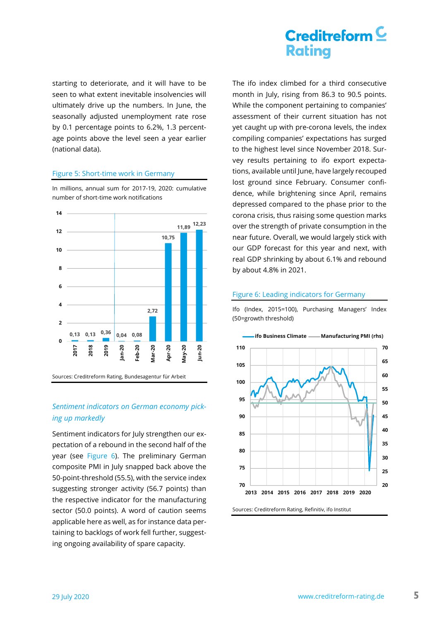starting to deteriorate, and it will have to be seen to what extent inevitable insolvencies will ultimately drive up the numbers. In June, the seasonally adjusted unemployment rate rose by 0.1 percentage points to 6.2%, 1.3 percentage points above the level seen a year earlier (national data).

#### <span id="page-4-0"></span>Figure 5: Short-time work in Germany



In millions, annual sum for 2017-19, 2020: cumulative number of short-time work notifications

# *Sentiment indicators on German economy pick-*

## *ing up markedly*

Sentiment indicators for July strengthen our expectation of a rebound in the second half of the year (see [Figure 6\)](#page-4-1). The preliminary German composite PMI in July snapped back above the 50-point-threshold (55.5), with the service index suggesting stronger activity (56.7 points) than the respective indicator for the manufacturing sector (50.0 points). A word of caution seems applicable here as well, as for instance data pertaining to backlogs of work fell further, suggesting ongoing availability of spare capacity.

## $C$ reditreform $C$ **Rating**

The ifo index climbed for a third consecutive month in July, rising from 86.3 to 90.5 points. While the component pertaining to companies' assessment of their current situation has not yet caught up with pre-corona levels, the index compiling companies' expectations has surged to the highest level since November 2018. Survey results pertaining to ifo export expectations, available until June, have largely recouped lost ground since February. Consumer confidence, while brightening since April, remains depressed compared to the phase prior to the corona crisis, thus raising some question marks over the strength of private consumption in the near future. Overall, we would largely stick with our GDP forecast for this year and next, with real GDP shrinking by about 6.1% and rebound by about 4.8% in 2021.

#### <span id="page-4-1"></span>Figure 6: Leading indicators for Germany

Ifo (Index, 2015=100), Purchasing Managers' Index (50=growth threshold)

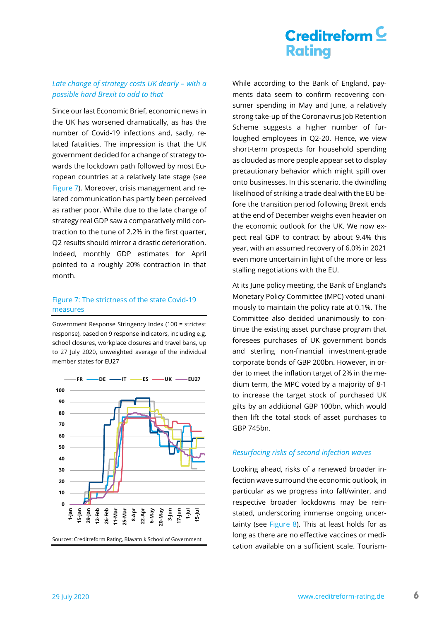### Late change of strategy costs UK dearly - with a *possible hard Brexit to add to that*

Since our last Economic Brief, economic news in the UK has worsened dramatically, as has the number of Covid-19 infections and, sadly, related fatalities. The impression is that the UK government decided for a change of strategy towards the lockdown path followed by most European countries at a relatively late stage (see [Figure 7\)](#page-5-0). Moreover, crisis management and related communication has partly been perceived as rather poor. While due to the late change of strategy real GDP saw a comparatively mild contraction to the tune of 2.2% in the first quarter, Q2 results should mirror a drastic deterioration. Indeed, monthly GDP estimates for April pointed to a roughly 20% contraction in that month.

### <span id="page-5-0"></span>Figure 7: The strictness of the state Covid-19 measures

Government Response Stringency Index (100 = strictest response), based on 9 response indicators, including e.g. school closures, workplace closures and travel bans, up to 27 July 2020, unweighted average of the individual member states for EU27



While according to the Bank of England, payments data seem to confirm recovering consumer spending in May and June, a relatively strong take-up of the Coronavirus Job Retention Scheme suggests a higher number of furloughed employees in Q2-20. Hence, we view short-term prospects for household spending as clouded as more people appear set to display precautionary behavior which might spill over onto businesses. In this scenario, the dwindling likelihood of striking a trade deal with the EU before the transition period following Brexit ends at the end of December weighs even heavier on the economic outlook for the UK. We now expect real GDP to contract by about 9.4% this year, with an assumed recovery of 6.0% in 2021 even more uncertain in light of the more or less stalling negotiations with the EU.

At its June policy meeting, the Bank of England's Monetary Policy Committee (MPC) voted unanimously to maintain the policy rate at 0.1%. The Committee also decided unanimously to continue the existing asset purchase program that foresees purchases of UK government bonds and sterling non-financial investment-grade corporate bonds of GBP 200bn. However, in order to meet the inflation target of 2% in the medium term, the MPC voted by a majority of 8-1 to increase the target stock of purchased UK gilts by an additional GBP 100bn, which would then lift the total stock of asset purchases to GBP 745bn.

#### *Resurfacing risks of second infection waves*

Looking ahead, risks of a renewed broader infection wave surround the economic outlook, in particular as we progress into fall/winter, and respective broader lockdowns may be reinstated, underscoring immense ongoing uncer-tainty (see [Figure 8\)](#page-6-0). This at least holds for as long as there are no effective vaccines or medication available on a sufficient scale. Tourism-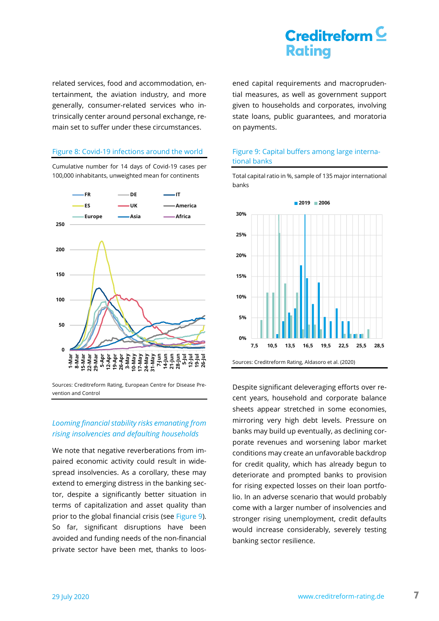related services, food and accommodation, entertainment, the aviation industry, and more generally, consumer-related services who intrinsically center around personal exchange, remain set to suffer under these circumstances.

#### <span id="page-6-0"></span>Figure 8: Covid-19 infections around the world

Cumulative number for 14 days of Covid-19 cases per 100,000 inhabitants, unweighted mean for continents



Sources: Creditreform Rating, European Centre for Disease Prevention and Control

### *Looming financial stability risks emanating from rising insolvencies and defaulting households*

We note that negative reverberations from impaired economic activity could result in widespread insolvencies. As a corollary, these may extend to emerging distress in the banking sector, despite a significantly better situation in terms of capitalization and asset quality than prior to the global financial crisis (see [Figure 9\)](#page-6-1). So far, significant disruptions have been avoided and funding needs of the non-financial private sector have been met, thanks to loosened capital requirements and macroprudential measures, as well as government support given to households and corporates, involving state loans, public guarantees, and moratoria on payments.

### <span id="page-6-1"></span>Figure 9: Capital buffers among large international banks

Total capital ratio in %, sample of 135 major international banks



Despite significant deleveraging efforts over recent years, household and corporate balance sheets appear stretched in some economies, mirroring very high debt levels. Pressure on banks may build up eventually, as declining corporate revenues and worsening labor market conditions may create an unfavorable backdrop for credit quality, which has already begun to deteriorate and prompted banks to provision for rising expected losses on their loan portfolio. In an adverse scenario that would probably come with a larger number of insolvencies and stronger rising unemployment, credit defaults would increase considerably, severely testing banking sector resilience.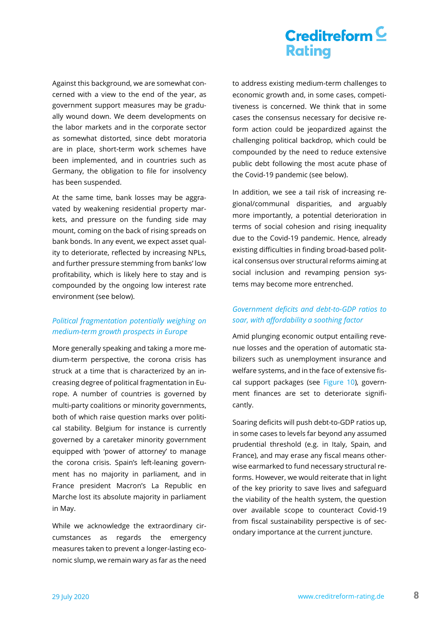Against this background, we are somewhat concerned with a view to the end of the year, as government support measures may be gradually wound down. We deem developments on the labor markets and in the corporate sector as somewhat distorted, since debt moratoria are in place, short-term work schemes have been implemented, and in countries such as Germany, the obligation to file for insolvency has been suspended.

At the same time, bank losses may be aggravated by weakening residential property markets, and pressure on the funding side may mount, coming on the back of rising spreads on bank bonds. In any event, we expect asset quality to deteriorate, reflected by increasing NPLs, and further pressure stemming from banks' low profitability, which is likely here to stay and is compounded by the ongoing low interest rate environment (see below).

## *Political fragmentation potentially weighing on medium-term growth prospects in Europe*

More generally speaking and taking a more medium-term perspective, the corona crisis has struck at a time that is characterized by an increasing degree of political fragmentation in Europe. A number of countries is governed by multi-party coalitions or minority governments, both of which raise question marks over political stability. Belgium for instance is currently governed by a caretaker minority government equipped with 'power of attorney' to manage the corona crisis. Spain's left-leaning government has no majority in parliament, and in France president Macron's La Republic en Marche lost its absolute majority in parliament in May.

While we acknowledge the extraordinary circumstances as regards the emergency measures taken to prevent a longer-lasting economic slump, we remain wary as far as the need

to address existing medium-term challenges to economic growth and, in some cases, competitiveness is concerned. We think that in some cases the consensus necessary for decisive reform action could be jeopardized against the challenging political backdrop, which could be compounded by the need to reduce extensive public debt following the most acute phase of the Covid-19 pandemic (see below).

In addition, we see a tail risk of increasing regional/communal disparities, and arguably more importantly, a potential deterioration in terms of social cohesion and rising inequality due to the Covid-19 pandemic. Hence, already existing difficulties in finding broad-based political consensus over structural reforms aiming at social inclusion and revamping pension systems may become more entrenched.

### *Government deficits and debt-to-GDP ratios to soar, with affordability a soothing factor*

Amid plunging economic output entailing revenue losses and the operation of automatic stabilizers such as unemployment insurance and welfare systems, and in the face of extensive fiscal support packages (see [Figure 10\)](#page-8-0), government finances are set to deteriorate significantly.

Soaring deficits will push debt-to-GDP ratios up, in some cases to levels far beyond any assumed prudential threshold (e.g. in Italy, Spain, and France), and may erase any fiscal means otherwise earmarked to fund necessary structural reforms. However, we would reiterate that in light of the key priority to save lives and safeguard the viability of the health system, the question over available scope to counteract Covid-19 from fiscal sustainability perspective is of secondary importance at the current juncture.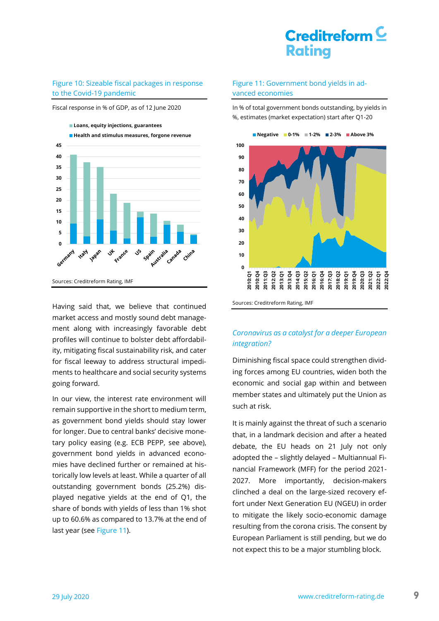#### <span id="page-8-0"></span>Figure 10: Sizeable fiscal packages in response to the Covid-19 pandemic

Fiscal response in % of GDP, as of 12 June 2020



Having said that, we believe that continued market access and mostly sound debt management along with increasingly favorable debt profiles will continue to bolster debt affordability, mitigating fiscal sustainability risk, and cater for fiscal leeway to address structural impediments to healthcare and social security systems going forward.

In our view, the interest rate environment will remain supportive in the short to medium term, as government bond yields should stay lower for longer. Due to central banks' decisive monetary policy easing (e.g. ECB PEPP, see above), government bond yields in advanced economies have declined further or remained at historically low levels at least. While a quarter of all outstanding government bonds (25.2%) displayed negative yields at the end of Q1, the share of bonds with yields of less than 1% shot up to 60.6% as compared to 13.7% at the end of last year (see [Figure 11\)](#page-8-1).

#### <span id="page-8-1"></span>Figure 11: Government bond yields in advanced economies

In % of total government bonds outstanding, by yields in %, estimates (market expectation) start after Q1-20



Sources: Creditreform Rating, IMF

### *Coronavirus as a catalyst for a deeper European integration?*

Diminishing fiscal space could strengthen dividing forces among EU countries, widen both the economic and social gap within and between member states and ultimately put the Union as such at risk.

It is mainly against the threat of such a scenario that, in a landmark decision and after a heated debate, the EU heads on 21 July not only adopted the – slightly delayed – Multiannual Financial Framework (MFF) for the period 2021- 2027. More importantly, decision-makers clinched a deal on the large-sized recovery effort under Next Generation EU (NGEU) in order to mitigate the likely socio-economic damage resulting from the corona crisis. The consent by European Parliament is still pending, but we do not expect this to be a major stumbling block.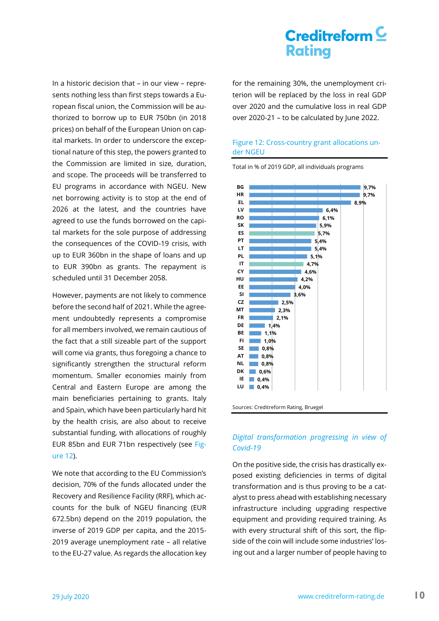In a historic decision that – in our view – represents nothing less than first steps towards a European fiscal union, the Commission will be authorized to borrow up to EUR 750bn (in 2018 prices) on behalf of the European Union on capital markets. In order to underscore the exceptional nature of this step, the powers granted to the Commission are limited in size, duration, and scope. The proceeds will be transferred to EU programs in accordance with NGEU. New net borrowing activity is to stop at the end of 2026 at the latest, and the countries have agreed to use the funds borrowed on the capital markets for the sole purpose of addressing the consequences of the COVID-19 crisis, with up to EUR 360bn in the shape of loans and up to EUR 390bn as grants. The repayment is scheduled until 31 December 2058.

However, payments are not likely to commence before the second half of 2021. While the agreement undoubtedly represents a compromise for all members involved, we remain cautious of the fact that a still sizeable part of the support will come via grants, thus foregoing a chance to significantly strengthen the structural reform momentum. Smaller economies mainly from Central and Eastern Europe are among the main beneficiaries pertaining to grants. Italy and Spain, which have been particularly hard hit by the health crisis, are also about to receive substantial funding, with allocations of roughly EUR 85bn and EUR 71bn respectively (see [Fig](#page-9-0)[ure 12\)](#page-9-0).

We note that according to the EU Commission's decision, 70% of the funds allocated under the Recovery and Resilience Facility (RRF), which accounts for the bulk of NGEU financing (EUR 672.5bn) depend on the 2019 population, the inverse of 2019 GDP per capita, and the 2015- 2019 average unemployment rate – all relative to the EU-27 value. As regards the allocation key for the remaining 30%, the unemployment criterion will be replaced by the loss in real GDP over 2020 and the cumulative loss in real GDP over 2020-21 – to be calculated by June 2022.

### <span id="page-9-0"></span>Figure 12: Cross-country grant allocations under NGEU

Total in % of 2019 GDP, all individuals programs



Sources: Creditreform Rating, Bruegel

### *Digital transformation progressing in view of Covid-19*

On the positive side, the crisis has drastically exposed existing deficiencies in terms of digital transformation and is thus proving to be a catalyst to press ahead with establishing necessary infrastructure including upgrading respective equipment and providing required training. As with every structural shift of this sort, the flipside of the coin will include some industries' losing out and a larger number of people having to